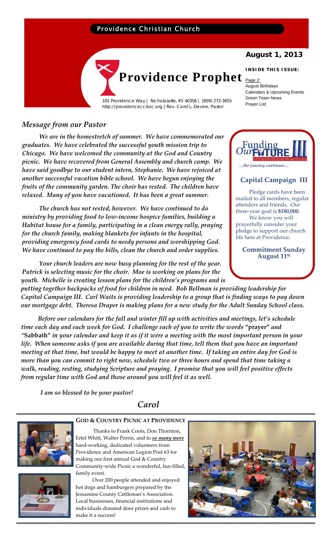## Providence Christian Church



Providence Way | Nicholasville, KY 40356 | (859) 272-3655<br>Praver List http://providenceccdoc.org |Rev. Carol L. Devine, Pastor

## *Message from our Pastor*

*We are in the homestretch of summer. We have commemorated our graduates. We have celebrated the successful youth mission trip to Chicago. We have welcomed the community at the God and Country picnic. We have recovered from General Assembly and church camp. We have said goodbye to our student intern, Stephanie. We have rejoiced at another successful vacation bible school. We have begun enjoying the fruits of the community garden. The choir has rested. The children have relaxed. Many of you have vacationed. It has been a great summer.* 

*The church has not rested, however. We have continued to do ministry by providing food to low‐income hospice families, building a Habitat house for a family, participating in a clean energy rally, praying for the church family, making blankets for infants in the hospital, providing emergency food cards to needy persons and worshipping God. We have continued to pay the bills, clean the church and order supplies.* 

*Your church leaders are now busy planning for the rest of the year. Patrick is selecting music for the choir. Moe is working on plans for the youth. Michelle is creating lesson plans for the children's programs and is*

*putting together backpacks of food for children in need. Bob Bellman is providing leadership for*  Capital Campaign III. Carl Waits is providing leadership to a group that is finding ways to pay down our mortgage debt. Theresa Draper is making plans for a new study for the Adult Sunday School class.

*Before our calendars for the fall and winter fill up with activities and meetings, let's schedule* time each day and each week for God. I challenge each of you to write the words "prayer" and "Sabbath" in your calendar and keep it as if it were a meeting with the most important person in your life. When someone asks if you are available during that time, tell them that you have an important meeting at that time, but would be happy to meet at another time. If taking an entire day for God is more than you can commit to right now, schedule two or three hours and spend that time taking a *walk, reading, resting, studying Scripture and praying. I promise that you will feel positive effects from regular time with God and those around you will feel it as well.*

 *I am so blessed to be your pastor!*

family event.

## *Carol*



 Thanks to Frank Coots, Don Thornton, Ertel Whitt, Walter Perrin, and to *so many more* hard‐working, dedicated volunteers from Providence and American Legion Post 63 for making our first annual God & Country Community‐wide Picnic a wonderful, fun‐filled,



#### Over 200 people attended and enjoyed hot dogs and hamburgers prepared by the Jessamine County Cattleman's Association. Local businesses, financial institutions and individuals donated door prizes and cash to make it a success!



## **August 1, 2013**

#### **INSIDE THIS ISSUE:**

August Birthdays Calendars & Upcoming Events Green Team News



 *…the journey continues…*

## **Capital Campaign III**

 Pledge cards have been mailed to all members, regular attenders and friends. Our three‐year goal is **\$180,000.** We know you will prayerfully consider your pledge to support our church life here at Providence.

**Commitment Sunday August 11th**